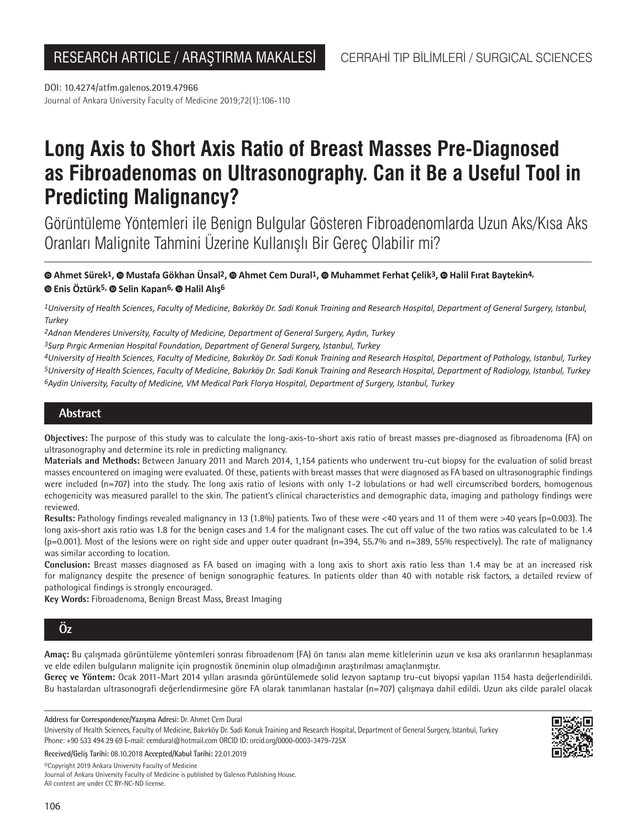Journal of Ankara University Faculty of Medicine 2019;72(1):106-110 DOI: 10.4274/atfm.galenos.2019.47966

# **Long Axis to Short Axis Ratio of Breast Masses Pre-Diagnosed as Fibroadenomas on Ultrasonography. Can it Be a Useful Tool in Predicting Malignancy?**

Görüntüleme Yöntemleri ile Benign Bulgular Gösteren Fibroadenomlarda Uzun Aks/Kısa Aks Oranları Malignite Tahmini Üzerine Kullanışlı Bir Gereç Olabilir mi?

# **[A](https://orcid.org/0000-0002-5192-2481)hmet Sürek1,Mustafa Gökhan Ünsal2,Ahmet Cem Dural1,Muhammet Ferhat Çelik3,Halil Fırat Baytekin4, Enis Öztürk5, [S](https://orcid.org/0000-0001-9339-4894)elin Kapan6, [H](https://orcid.org/0000-0002-8008-2776)alil Alış6**

*1University of Health Sciences, Faculty of Medicine, Bakırköy Dr. Sadi Konuk Training and Research Hospital, Department of General Surgery, Istanbul, Turkey*

*2Adnan Menderes University, Faculty of Medicine, Department of General Surgery, Aydın, Turkey*

*3Surp Pırgic Armenian Hospital Foundation, Department of General Surgery, Istanbul, Turkey*

*4University of Health Sciences, Faculty of Medicine, Bakırköy Dr. Sadi Konuk Training and Research Hospital, Department of Pathology, Istanbul, Turkey 5University of Health Sciences, Faculty of Medicine, Bakırköy Dr. Sadi Konuk Training and Research Hospital, Department of Radiology, Istanbul, Turkey 6Aydin University, Faculty of Medicine, VM Medical Park Florya Hospital, Department of Surgery, Istanbul, Turkey*

# **Abstract**

**Objectives:** The purpose of this study was to calculate the long-axis-to-short axis ratio of breast masses pre-diagnosed as fibroadenoma (FA) on ultrasonography and determine its role in predicting malignancy.

**Materials and Methods:** Between January 2011 and March 2014, 1,154 patients who underwent tru-cut biopsy for the evaluation of solid breast masses encountered on imaging were evaluated. Of these, patients with breast masses that were diagnosed as FA based on ultrasonographic findings were included (n=707) into the study. The long axis ratio of lesions with only 1-2 lobulations or had well circumscribed borders, homogenous echogenicity was measured parallel to the skin. The patient's clinical characteristics and demographic data, imaging and pathology findings were reviewed.

Results: Pathology findings revealed malignancy in 13 (1.8%) patients. Two of these were <40 years and 11 of them were >40 years (p=0.003). The long axis-short axis ratio was 1.8 for the benign cases and 1.4 for the malignant cases. The cut off value of the two ratios was calculated to be 1.4 (p=0.001). Most of the lesions were on right side and upper outer quadrant (n=394, 55.7% and n=389, 55% respectively). The rate of malignancy was similar according to location.

**Conclusion:** Breast masses diagnosed as FA based on imaging with a long axis to short axis ratio less than 1.4 may be at an increased risk for malignancy despite the presence of benign sonographic features. In patients older than 40 with notable risk factors, a detailed review of pathological findings is strongly encouraged.

**Key Words:** Fibroadenoma, Benign Breast Mass, Breast Imaging

# **Öz**

**Amaç:** Bu çalışmada görüntüleme yöntemleri sonrası fibroadenom (FA) ön tanısı alan meme kitlelerinin uzun ve kısa aks oranlarının hesaplanması ve elde edilen bulguların malignite için prognostik öneminin olup olmadığının araştırılması amaçlanmıştır.

**Gereç ve Yöntem:** Ocak 2011-Mart 2014 yılları arasında görüntülemede solid lezyon saptanıp tru-cut biyopsi yapılan 1154 hasta değerlendirildi. Bu hastalardan ultrasonografi değerlendirmesine göre FA olarak tanımlanan hastalar (n=707) çalışmaya dahil edildi. Uzun aks cilde paralel olacak

**Address for Correspondence/Yazışma Adresi:** Dr. Ahmet Cem Dural

University of Health Sciences, Faculty of Medicine, Bakırköy Dr. Sadi Konuk Training and Research Hospital, Department of General Surgery, Istanbul, Turkey Phone: +90 533 494 29 69 E-mail: cemdural@hotmail.com ORCID ID: orcid.org/0000-0003-3479-725X



**Received/Geliş Tarihi:** 08.10.2018 **Accepted/Kabul Tarihi:** 22.01.2019

©️Copyright 2019 Ankara University Faculty of Medicine

Journal of Ankara University Faculty of Medicine is published by Galenos Publishing House. All content are under CC BY-NC-ND license.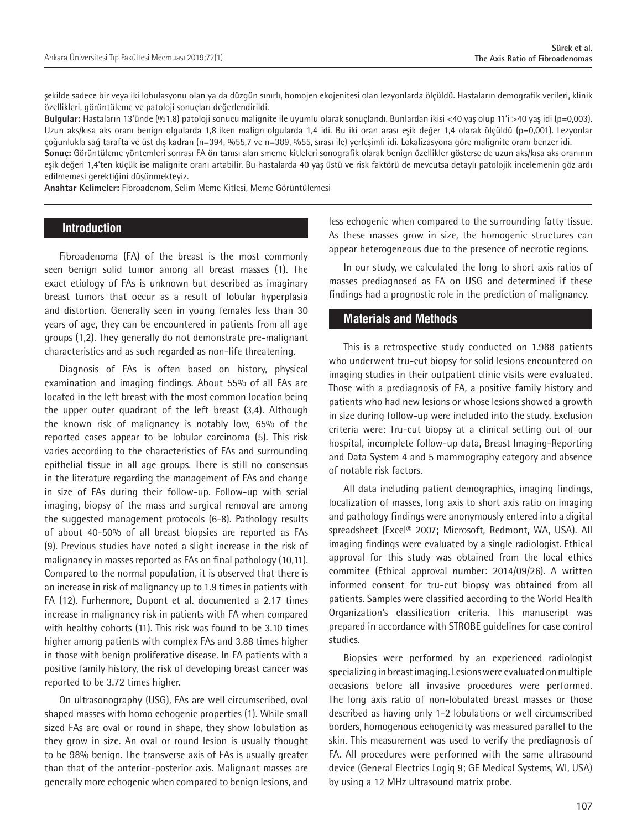şekilde sadece bir veya iki lobulasyonu olan ya da düzgün sınırlı, homojen ekojenitesi olan lezyonlarda ölçüldü. Hastaların demografik verileri, klinik özellikleri, görüntüleme ve patoloji sonuçları değerlendirildi.

**Bulgular:** Hastaların 13'ünde (%1,8) patoloji sonucu malignite ile uyumlu olarak sonuçlandı. Bunlardan ikisi <40 yaş olup 11'i >40 yaş idi (p=0,003). Uzun aks/kısa aks oranı benign olgularda 1,8 iken malign olgularda 1,4 idi. Bu iki oran arası eşik değer 1,4 olarak ölçüldü (p=0,001). Lezyonlar çoğunlukla sağ tarafta ve üst dış kadran (n=394, %55,7 ve n=389, %55, sırası ile) yerleşimli idi. Lokalizasyona göre malignite oranı benzer idi. **Sonuç:** Görüntüleme yöntemleri sonrası FA ön tanısı alan smeme kitleleri sonografik olarak benign özellikler gösterse de uzun aks/kısa aks oranının

eşik değeri 1,4'ten küçük ise malignite oranı artabilir. Bu hastalarda 40 yaş üstü ve risk faktörü de mevcutsa detaylı patolojik incelemenin göz ardı edilmemesi gerektiğini düşünmekteyiz.

**Anahtar Kelimeler:** Fibroadenom, Selim Meme Kitlesi, Meme Görüntülemesi

# **Introduction**

Fibroadenoma (FA) of the breast is the most commonly seen benign solid tumor among all breast masses (1). The exact etiology of FAs is unknown but described as imaginary breast tumors that occur as a result of lobular hyperplasia and distortion. Generally seen in young females less than 30 years of age, they can be encountered in patients from all age groups (1,2). They generally do not demonstrate pre-malignant characteristics and as such regarded as non-life threatening.

Diagnosis of FAs is often based on history, physical examination and imaging findings. About 55% of all FAs are located in the left breast with the most common location being the upper outer quadrant of the left breast (3,4). Although the known risk of malignancy is notably low, 65% of the reported cases appear to be lobular carcinoma (5). This risk varies according to the characteristics of FAs and surrounding epithelial tissue in all age groups. There is still no consensus in the literature regarding the management of FAs and change in size of FAs during their follow-up. Follow-up with serial imaging, biopsy of the mass and surgical removal are among the suggested management protocols (6-8). Pathology results of about 40-50% of all breast biopsies are reported as FAs (9). Previous studies have noted a slight increase in the risk of malignancy in masses reported as FAs on final pathology (10,11). Compared to the normal population, it is observed that there is an increase in risk of malignancy up to 1.9 times in patients with FA (12). Furhermore, Dupont et al. documented a 2.17 times increase in malignancy risk in patients with FA when compared with healthy cohorts (11). This risk was found to be 3.10 times higher among patients with complex FAs and 3.88 times higher in those with benign proliferative disease. In FA patients with a positive family history, the risk of developing breast cancer was reported to be 3.72 times higher.

On ultrasonography (USG), FAs are well circumscribed, oval shaped masses with homo echogenic properties (1). While small sized FAs are oval or round in shape, they show lobulation as they grow in size. An oval or round lesion is usually thought to be 98% benign. The transverse axis of FAs is usually greater than that of the anterior-posterior axis. Malignant masses are generally more echogenic when compared to benign lesions, and

less echogenic when compared to the surrounding fatty tissue. As these masses grow in size, the homogenic structures can appear heterogeneous due to the presence of necrotic regions.

In our study, we calculated the long to short axis ratios of masses prediagnosed as FA on USG and determined if these findings had a prognostic role in the prediction of malignancy.

# **Materials and Methods**

This is a retrospective study conducted on 1.988 patients who underwent tru-cut biopsy for solid lesions encountered on imaging studies in their outpatient clinic visits were evaluated. Those with a prediagnosis of FA, a positive family history and patients who had new lesions or whose lesions showed a growth in size during follow-up were included into the study. Exclusion criteria were: Tru-cut biopsy at a clinical setting out of our hospital, incomplete follow-up data, Breast Imaging-Reporting and Data System 4 and 5 mammography category and absence of notable risk factors.

All data including patient demographics, imaging findings, localization of masses, long axis to short axis ratio on imaging and pathology findings were anonymously entered into a digital spreadsheet (Excel® 2007; Microsoft, Redmont, WA, USA). All imaging findings were evaluated by a single radiologist. Ethical approval for this study was obtained from the local ethics commitee (Ethical approval number: 2014/09/26). A written informed consent for tru-cut biopsy was obtained from all patients. Samples were classified according to the World Health Organization's classification criteria. This manuscript was prepared in accordance with STROBE guidelines for case control studies.

Biopsies were performed by an experienced radiologist specializing in breast imaging. Lesions were evaluated on multiple occasions before all invasive procedures were performed. The long axis ratio of non-lobulated breast masses or those described as having only 1-2 lobulations or well circumscribed borders, homogenous echogenicity was measured parallel to the skin. This measurement was used to verify the prediagnosis of FA. All procedures were performed with the same ultrasound device (General Electrics Logiq 9; GE Medical Systems, WI, USA) by using a 12 MHz ultrasound matrix probe.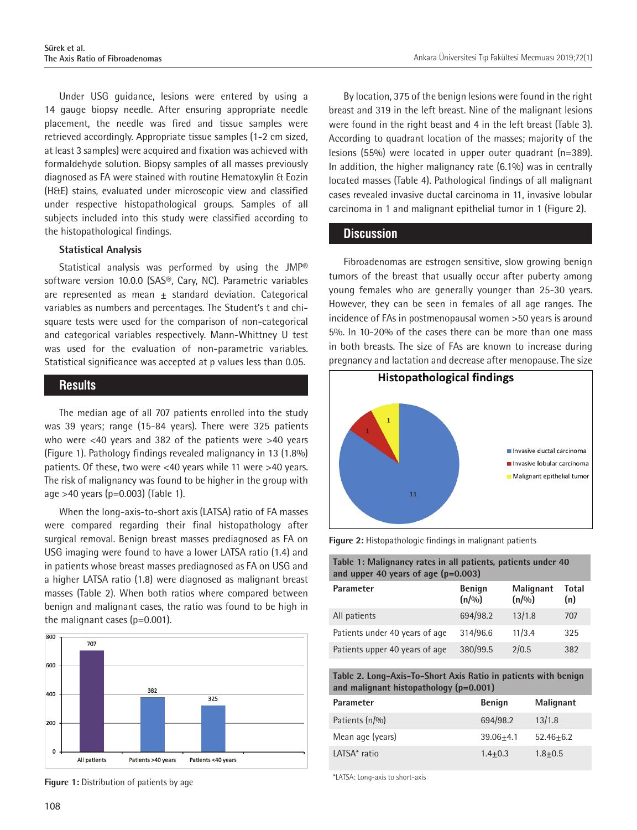Under USG guidance, lesions were entered by using a 14 gauge biopsy needle. After ensuring appropriate needle placement, the needle was fired and tissue samples were retrieved accordingly. Appropriate tissue samples (1-2 cm sized, at least 3 samples) were acquired and fixation was achieved with formaldehyde solution. Biopsy samples of all masses previously diagnosed as FA were stained with routine Hematoxylin & Eozin (H&E) stains, evaluated under microscopic view and classified under respective histopathological groups. Samples of all subjects included into this study were classified according to the histopathological findings.

#### **Statistical Analysis**

Statistical analysis was performed by using the JMP® software version 10.0.0 (SAS®, Cary, NC). Parametric variables are represented as mean  $\pm$  standard deviation. Categorical variables as numbers and percentages. The Student's t and chisquare tests were used for the comparison of non-categorical and categorical variables respectively. Mann-Whittney U test was used for the evaluation of non-parametric variables. Statistical significance was accepted at p values less than 0.05.

## **Results**

The median age of all 707 patients enrolled into the study was 39 years; range (15-84 years). There were 325 patients who were <40 years and 382 of the patients were >40 years (Figure 1). Pathology findings revealed malignancy in 13 (1.8%) patients. Of these, two were <40 years while 11 were >40 years. The risk of malignancy was found to be higher in the group with age >40 years (p=0.003) (Table 1).

When the long-axis-to-short axis (LATSA) ratio of FA masses were compared regarding their final histopathology after surgical removal. Benign breast masses prediagnosed as FA on USG imaging were found to have a lower LATSA ratio (1.4) and in patients whose breast masses prediagnosed as FA on USG and a higher LATSA ratio (1.8) were diagnosed as malignant breast masses (Table 2). When both ratios where compared between benign and malignant cases, the ratio was found to be high in the malignant cases (p=0.001).



\*LATSA: Long-axis to short-axis **Figure 1:** Distribution of patients by age

By location, 375 of the benign lesions were found in the right breast and 319 in the left breast. Nine of the malignant lesions were found in the right beast and 4 in the left breast (Table 3). According to quadrant location of the masses; majority of the lesions (55%) were located in upper outer quadrant (n=389). In addition, the higher malignancy rate (6.1%) was in centrally located masses (Table 4). Pathological findings of all malignant cases revealed invasive ductal carcinoma in 11, invasive lobular carcinoma in 1 and malignant epithelial tumor in 1 (Figure 2).

# **Discussion**

Fibroadenomas are estrogen sensitive, slow growing benign tumors of the breast that usually occur after puberty among young females who are generally younger than 25-30 years. However, they can be seen in females of all age ranges. The incidence of FAs in postmenopausal women >50 years is around 5%. In 10-20% of the cases there can be more than one mass in both breasts. The size of FAs are known to increase during pregnancy and lactation and decrease after menopause. The size



**Figure 2:** Histopathologic findings in malignant patients

| Table 1: Malignancy rates in all patients, patients under 40 |  |
|--------------------------------------------------------------|--|
| and upper 40 years of age $(p=0.003)$                        |  |

| Parameter                      | <b>Benign</b><br>(n/9/0) | <b>Malignant</b><br>(n/9/0) | Total<br>(n) |
|--------------------------------|--------------------------|-----------------------------|--------------|
| All patients                   | 694/98.2                 | 13/1.8                      | 707          |
| Patients under 40 years of age | 314/96.6                 | 11/3.4                      | 325          |
| Patients upper 40 years of age | 380/99.5                 | 2/0.5                       | 382          |

**Table 2. Long-Axis-To-Short Axis Ratio in patients with benign and malignant histopathology (p=0.001)**

| Parameter        |  | <b>Benign</b> | <b>Malignant</b> |
|------------------|--|---------------|------------------|
| Patients (n/%)   |  | 694/98.2      | 13/1.8           |
| Mean age (years) |  | $39.06 + 4.1$ | $52.46 + 6.2$    |
| LATSA* ratio     |  | $1.4 + 0.3$   | $1.8 + 0.5$      |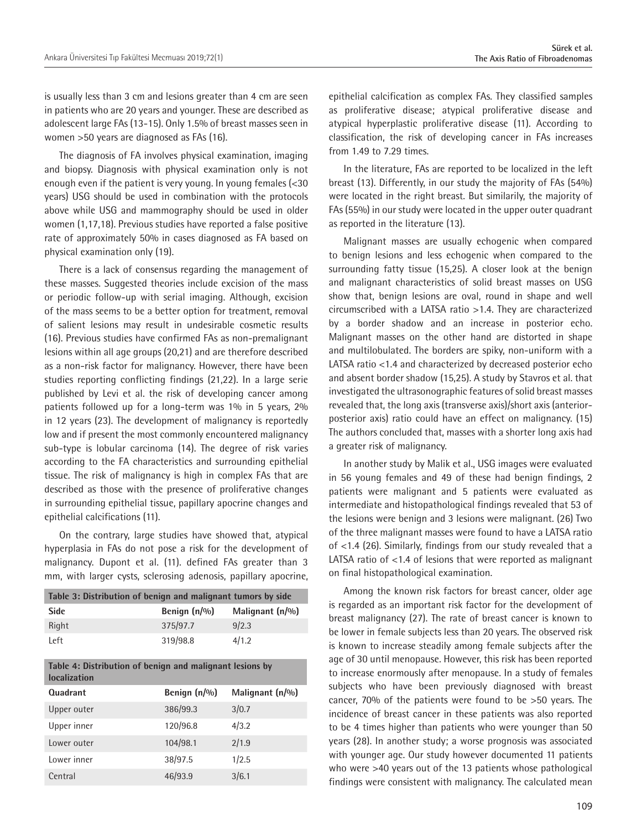is usually less than 3 cm and lesions greater than 4 cm are seen in patients who are 20 years and younger. These are described as adolescent large FAs (13-15). Only 1.5% of breast masses seen in women >50 years are diagnosed as FAs (16).

The diagnosis of FA involves physical examination, imaging and biopsy. Diagnosis with physical examination only is not enough even if the patient is very young. In young females (<30 years) USG should be used in combination with the protocols above while USG and mammography should be used in older women (1,17,18). Previous studies have reported a false positive rate of approximately 50% in cases diagnosed as FA based on physical examination only (19).

There is a lack of consensus regarding the management of these masses. Suggested theories include excision of the mass or periodic follow-up with serial imaging. Although, excision of the mass seems to be a better option for treatment, removal of salient lesions may result in undesirable cosmetic results (16). Previous studies have confirmed FAs as non-premalignant lesions within all age groups (20,21) and are therefore described as a non-risk factor for malignancy. However, there have been studies reporting conflicting findings (21,22). In a large serie published by Levi et al. the risk of developing cancer among patients followed up for a long-term was 1% in 5 years, 2% in 12 years (23). The development of malignancy is reportedly low and if present the most commonly encountered malignancy sub-type is lobular carcinoma (14). The degree of risk varies according to the FA characteristics and surrounding epithelial tissue. The risk of malignancy is high in complex FAs that are described as those with the presence of proliferative changes in surrounding epithelial tissue, papillary apocrine changes and epithelial calcifications (11).

On the contrary, large studies have showed that, atypical hyperplasia in FAs do not pose a risk for the development of malignancy. Dupont et al. (11). defined FAs greater than 3 mm, with larger cysts, sclerosing adenosis, papillary apocrine,

| Table 3: Distribution of benign and malignant tumors by side |                 |                    |  |  |
|--------------------------------------------------------------|-----------------|--------------------|--|--|
| <b>Side</b>                                                  | Benign $(n/\%)$ | Malignant $(n/\%)$ |  |  |
| Right                                                        | 375/97.7        | 9/2.3              |  |  |
| l eft                                                        | 319/98.8        | 4/1.2              |  |  |

**Table 4: Distribution of benign and malignant lesions by localization**

| Quadrant    | Benign (n/%) | Malignant (n/%) |
|-------------|--------------|-----------------|
| Upper outer | 386/99.3     | 3/0.7           |
| Upper inner | 120/96.8     | 4/3.2           |
| Lower outer | 104/98.1     | 2/1.9           |
| Lower inner | 38/97.5      | 1/2.5           |
| Central     | 46/93.9      | 3/6.1           |

epithelial calcification as complex FAs. They classified samples as proliferative disease; atypical proliferative disease and atypical hyperplastic proliferative disease (11). According to classification, the risk of developing cancer in FAs increases from 1.49 to 7.29 times.

In the literature, FAs are reported to be localized in the left breast (13). Differently, in our study the majority of FAs (54%) were located in the right breast. But similarily, the majority of FAs (55%) in our study were located in the upper outer quadrant as reported in the literature (13).

Malignant masses are usually echogenic when compared to benign lesions and less echogenic when compared to the surrounding fatty tissue (15,25). A closer look at the benign and malignant characteristics of solid breast masses on USG show that, benign lesions are oval, round in shape and well circumscribed with a LATSA ratio >1.4. They are characterized by a border shadow and an increase in posterior echo. Malignant masses on the other hand are distorted in shape and multilobulated. The borders are spiky, non-uniform with a LATSA ratio <1.4 and characterized by decreased posterior echo and absent border shadow (15,25). A study by Stavros et al. that investigated the ultrasonographic features of solid breast masses revealed that, the long axis (transverse axis)/short axis (anteriorposterior axis) ratio could have an effect on malignancy. (15) The authors concluded that, masses with a shorter long axis had a greater risk of malignancy.

In another study by Malik et al., USG images were evaluated in 56 young females and 49 of these had benign findings, 2 patients were malignant and 5 patients were evaluated as intermediate and histopathological findings revealed that 53 of the lesions were benign and 3 lesions were malignant. (26) Two of the three malignant masses were found to have a LATSA ratio of <1.4 (26). Similarly, findings from our study revealed that a LATSA ratio of <1.4 of lesions that were reported as malignant on final histopathological examination.

Among the known risk factors for breast cancer, older age is regarded as an important risk factor for the development of breast malignancy (27). The rate of breast cancer is known to be lower in female subjects less than 20 years. The observed risk is known to increase steadily among female subjects after the age of 30 until menopause. However, this risk has been reported to increase enormously after menopause. In a study of females subjects who have been previously diagnosed with breast cancer, 70% of the patients were found to be >50 years. The incidence of breast cancer in these patients was also reported to be 4 times higher than patients who were younger than 50 years (28). In another study; a worse prognosis was associated with younger age. Our study however documented 11 patients who were >40 years out of the 13 patients whose pathological findings were consistent with malignancy. The calculated mean